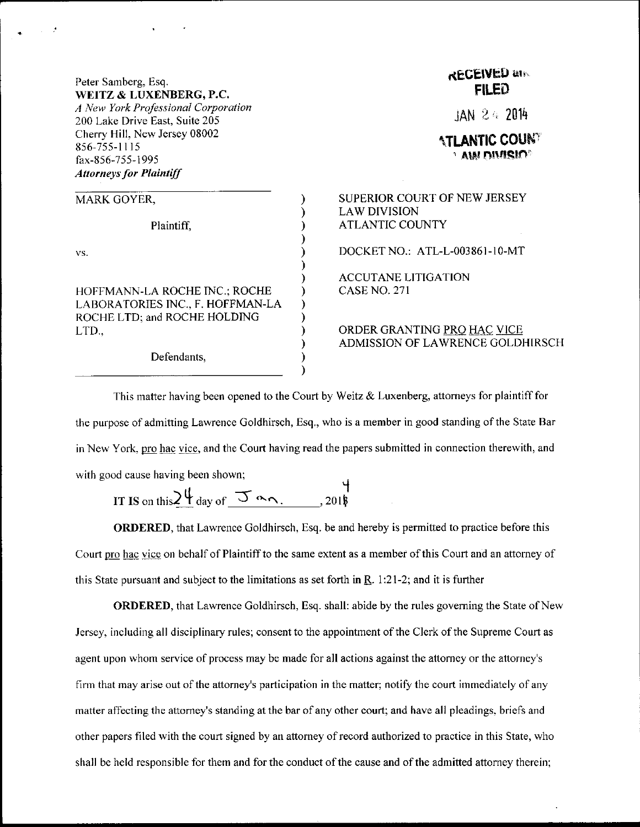## Peter Samberg, Esq. WEITZ & LUXENBERG, P.C.

A New York Professional Corporation 200 Lake Drive East, Suite 205 Cherry Hill, New Jersey 08002 856-755-I115 fax-856-755- 1995 **Attorneys for Plaintiff** 

| MARK GOYER,                                                                                               |
|-----------------------------------------------------------------------------------------------------------|
| Plaintiff,                                                                                                |
| VS.                                                                                                       |
| HOFFMANN-LA ROCHE INC.; ROCHE<br>LABORATORIES INC., F. HOFFMAN-LA<br>ROCHE LTD; and ROCHE HOLDING<br>LTD. |

Defendants.

## **REGEIVED and** FILED

 $IAN 24.2014$ 

TLANTIC COUN<sup>t</sup>  $^{\circ}$  aw ntarslo $^{\circ}$ 

SUPERIOR COURT OF NEW JERSEY LAW DIVISION ATLANTIC COUNTY

DOCKET NO.: ATL-L-003861-10-MT

ACCUTANE LITIGATION CASE NO. 27I

ORDER GRANTING PRO HAC VICE ADMISSION OF LAWRENCE GOLDHIRSCH

This matter having been opened to the Court by Weitz  $\&$  Luxenberg, attorneys for plaintiff for the purpose of admitting Lawrence Goldhirsch, Esq., who is a member in good standing ofthe State Bar in New York, pro hac vice, and the Court having read the papers submitted in connection therewith, and with good cause having been shown;

IT IS on this  $2\frac{11}{2}$  day of  $\frac{11}{2}$  or  $\overline{\mathbf{u}}$ 20l\$

ORDERED, that Lawrence Goldhirsch, Esq. be and hereby is permitted to practice before this Court pro hac vice on behalf of Plaintiffto the same extent as a member ofthis Court and an attomey of this State pursuant and subject to the limitations as set forth in  $\mathbb{R}$ . 1:21-2; and it is further

ORDERED, that Lawrence Goldhirsch, Esq. shall: abide by the rules governing the State of New Jersey, including all disciplinary rules; consent to the appointment ofthe Clerk ofthe Supreme Court as agent upon whom service of process may be made for all actions against the attorney or the attorney's firm that may arise out of the attomey's participation in the matter; notiry the court immediately of any matter affecting the attorney's standing at the bar of any other court; and have all pleadings, briefs and other papers filed with the court signed by an attorney of record authorized to practice in this State, who shall be held responsible for them and for the conduct of the cause and of the admitted attorney therein;